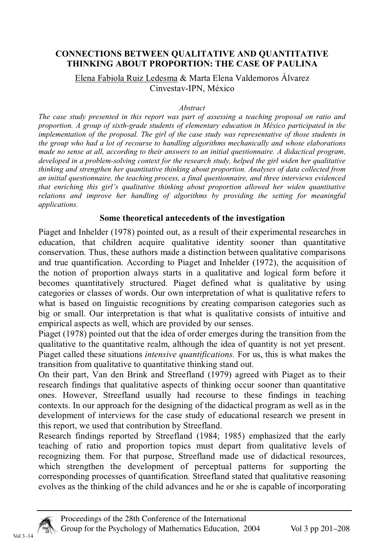### **CONNECTIONS BETWEEN QUALITATIVE AND QUANTITATIVE THINKING ABOUT PROPORTION: THE CASE OF PAULINA**

#### Elena Fabiola Ruiz Ledesma & Marta Elena Valdemoros Álvarez Cinvestav-IPN, México

#### *Abstract*

*The case study presented in this report was part of assessing a teaching proposal on ratio and proportion. A group of sixth-grade students of elementary education in México participated in the implementation of the proposal. The girl of the case study was representative of those students in the group who had a lot of recourse to handling algorithms mechanically and whose elaborations made no sense at all, according to their answers to an initial questionnaire. A didactical program, developed in a problem-solving context for the research study, helped the girl widen her qualitative thinking and strengthen her quantitative thinking about proportion. Analyses of data collected from an initial questionnaire, the teaching process, a final questionnaire, and three interviews evidenced that enriching this girl's qualitative thinking about proportion allowed her widen quantitative relations and improve her handling of algorithms by providing the setting for meaningful applications.*

#### **Some theoretical antecedents of the investigation**

Piaget and Inhelder (1978) pointed out, as a result of their experimental researches in education, that children acquire qualitative identity sooner than quantitative conservation. Thus, these authors made a distinction between qualitative comparisons and true quantification. According to Piaget and Inhelder (1972), the acquisition of the notion of proportion always starts in a qualitative and logical form before it becomes quantitatively structured. Piaget defined what is qualitative by using categories or classes of words. Our own interpretation of what is qualitative refers to what is based on linguistic recognitions by creating comparison categories such as big or small. Our interpretation is that what is qualitative consists of intuitive and empirical aspects as well, which are provided by our senses.

Piaget (1978) pointed out that the idea of order emerges during the transition from the qualitative to the quantitative realm, although the idea of quantity is not yet present. Piaget called these situations *intensive quantifications.* For us, this is what makes the transition from qualitative to quantitative thinking stand out.

On their part, Van den Brink and Streefland (1979) agreed with Piaget as to their research findings that qualitative aspects of thinking occur sooner than quantitative ones. However, Streefland usually had recourse to these findings in teaching contexts. In our approach for the designing of the didactical program as well as in the development of interviews for the case study of educational research we present in this report, we used that contribution by Streefland.

Research findings reported by Streefland (1984; 1985) emphasized that the early teaching of ratio and proportion topics must depart from qualitative levels of recognizing them. For that purpose, Streefland made use of didactical resources, which strengthen the development of perceptual patterns for supporting the corresponding processes of quantification. Streefland stated that qualitative reasoning evolves as the thinking of the child advances and he or she is capable of incorporating

Vol 3–14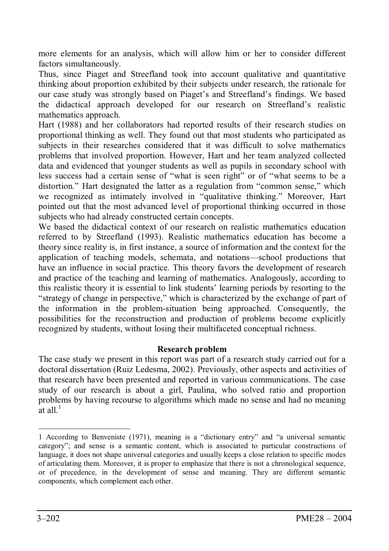more elements for an analysis, which will allow him or her to consider different factors simultaneously.

Thus, since Piaget and Streefland took into account qualitative and quantitative thinking about proportion exhibited by their subjects under research, the rationale for our case study was strongly based on Piaget's and Streefland's findings. We based the didactical approach developed for our research on Streefland's realistic mathematics approach.

Hart (1988) and her collaborators had reported results of their research studies on proportional thinking as well. They found out that most students who participated as subjects in their researches considered that it was difficult to solve mathematics problems that involved proportion. However, Hart and her team analyzed collected data and evidenced that younger students as well as pupils in secondary school with less success had a certain sense of "what is seen right" or of "what seems to be a distortion." Hart designated the latter as a regulation from "common sense," which we recognized as intimately involved in "qualitative thinking." Moreover, Hart pointed out that the most advanced level of proportional thinking occurred in those subjects who had already constructed certain concepts.

We based the didactical context of our research on realistic mathematics education referred to by Streefland (1993). Realistic mathematics education has become a theory since reality is, in first instance, a source of information and the context for the application of teaching models, schemata, and notations—school productions that have an influence in social practice. This theory favors the development of research and practice of the teaching and learning of mathematics. Analogously, according to this realistic theory it is essential to link students' learning periods by resorting to the "strategy of change in perspective," which is characterized by the exchange of part of the information in the problem-situation being approached. Consequently, the possibilities for the reconstruction and production of problems become explicitly recognized by students, without losing their multifaceted conceptual richness.

# **Research problem**

The case study we present in this report was part of a research study carried out for a doctoral dissertation (Ruiz Ledesma, 2002). Previously, other aspects and activities of that research have been presented and reported in various communications. The case study of our research is about a girl, Paulina, who solved ratio and proportion problems by having recourse to algorithms which made no sense and had no meaning at all  $1$ 

<sup>1</sup> According to Benveniste (1971), meaning is a "dictionary entry" and "a universal semantic category"; and sense is a semantic content, which is associated to particular constructions of language, it does not shape universal categories and usually keeps a close relation to specific modes of articulating them. Moreover, it is proper to emphasize that there is not a chronological sequence, or of precedence, in the development of sense and meaning. They are different semantic components, which complement each other.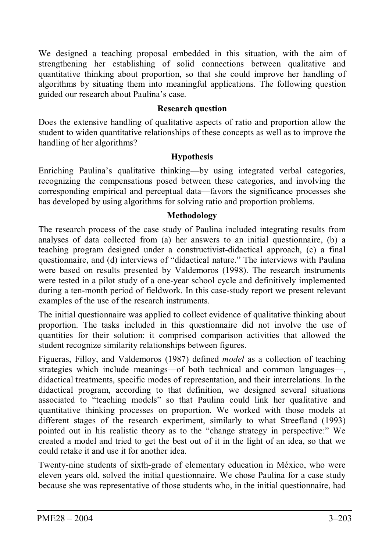We designed a teaching proposal embedded in this situation, with the aim of strengthening her establishing of solid connections between qualitative and quantitative thinking about proportion, so that she could improve her handling of algorithms by situating them into meaningful applications. The following question guided our research about Paulina's case.

# **Research question**

Does the extensive handling of qualitative aspects of ratio and proportion allow the student to widen quantitative relationships of these concepts as well as to improve the handling of her algorithms?

# **Hypothesis**

Enriching Paulina's qualitative thinking—by using integrated verbal categories, recognizing the compensations posed between these categories, and involving the corresponding empirical and perceptual data—favors the significance processes she has developed by using algorithms for solving ratio and proportion problems.

# **Methodology**

The research process of the case study of Paulina included integrating results from analyses of data collected from (a) her answers to an initial questionnaire, (b) a teaching program designed under a constructivist-didactical approach, (c) a final questionnaire, and (d) interviews of "didactical nature." The interviews with Paulina were based on results presented by Valdemoros (1998). The research instruments were tested in a pilot study of a one-year school cycle and definitively implemented during a ten-month period of fieldwork. In this case-study report we present relevant examples of the use of the research instruments.

The initial questionnaire was applied to collect evidence of qualitative thinking about proportion. The tasks included in this questionnaire did not involve the use of quantities for their solution: it comprised comparison activities that allowed the student recognize similarity relationships between figures.

Figueras, Filloy, and Valdemoros (1987) defined *model* as a collection of teaching strategies which include meanings—of both technical and common languages—, didactical treatments, specific modes of representation, and their interrelations. In the didactical program, according to that definition, we designed several situations associated to "teaching models" so that Paulina could link her qualitative and quantitative thinking processes on proportion. We worked with those models at different stages of the research experiment, similarly to what Streefland (1993) pointed out in his realistic theory as to the "change strategy in perspective:" We created a model and tried to get the best out of it in the light of an idea, so that we could retake it and use it for another idea.

Twenty-nine students of sixth-grade of elementary education in México, who were eleven years old, solved the initial questionnaire. We chose Paulina for a case study because she was representative of those students who, in the initial questionnaire, had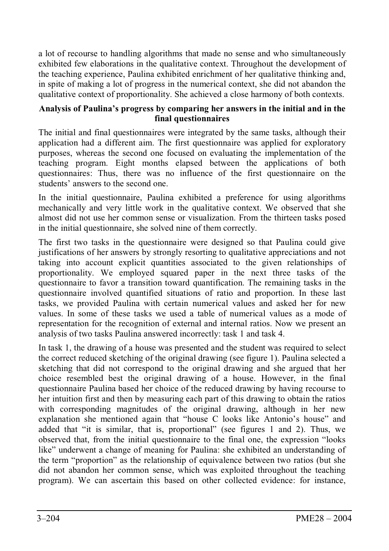a lot of recourse to handling algorithms that made no sense and who simultaneously exhibited few elaborations in the qualitative context. Throughout the development of the teaching experience, Paulina exhibited enrichment of her qualitative thinking and, in spite of making a lot of progress in the numerical context, she did not abandon the qualitative context of proportionality. She achieved a close harmony of both contexts.

# **Analysis of Paulina's progress by comparing her answers in the initial and in the final questionnaires**

The initial and final questionnaires were integrated by the same tasks, although their application had a different aim. The first questionnaire was applied for exploratory purposes, whereas the second one focused on evaluating the implementation of the teaching program. Eight months elapsed between the applications of both questionnaires: Thus, there was no influence of the first questionnaire on the students' answers to the second one.

In the initial questionnaire, Paulina exhibited a preference for using algorithms mechanically and very little work in the qualitative context. We observed that she almost did not use her common sense or visualization. From the thirteen tasks posed in the initial questionnaire, she solved nine of them correctly.

The first two tasks in the questionnaire were designed so that Paulina could give justifications of her answers by strongly resorting to qualitative appreciations and not taking into account explicit quantities associated to the given relationships of proportionality. We employed squared paper in the next three tasks of the questionnaire to favor a transition toward quantification. The remaining tasks in the questionnaire involved quantified situations of ratio and proportion. In these last tasks, we provided Paulina with certain numerical values and asked her for new values. In some of these tasks we used a table of numerical values as a mode of representation for the recognition of external and internal ratios. Now we present an analysis of two tasks Paulina answered incorrectly: task 1 and task 4.

In task 1, the drawing of a house was presented and the student was required to select the correct reduced sketching of the original drawing (see figure 1). Paulina selected a sketching that did not correspond to the original drawing and she argued that her choice resembled best the original drawing of a house. However, in the final questionnaire Paulina based her choice of the reduced drawing by having recourse to her intuition first and then by measuring each part of this drawing to obtain the ratios with corresponding magnitudes of the original drawing, although in her new explanation she mentioned again that "house C looks like Antonio's house" and added that "it is similar, that is, proportional" (see figures 1 and 2). Thus, we observed that, from the initial questionnaire to the final one, the expression "looks like" underwent a change of meaning for Paulina: she exhibited an understanding of the term "proportion" as the relationship of equivalence between two ratios (but she did not abandon her common sense, which was exploited throughout the teaching program). We can ascertain this based on other collected evidence: for instance,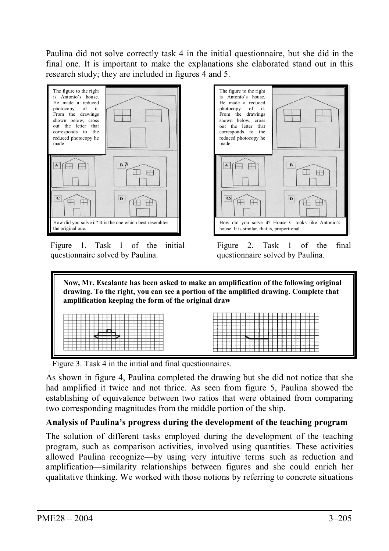Paulina did not solve correctly task 4 in the initial questionnaire, but she did in the final one. It is important to make the explanations she elaborated stand out in this research study; they are included in figures 4 and 5.



Figure 1. Task 1 of the initial questionnaire solved by Paulina.



Figure 2. Task 1 of the final questionnaire solved by Paulina.

 **Now, Mr. Escalante has been asked to make an amplification of the following original drawing. To the right, you can see a portion of the amplified drawing. Complete that amplification keeping the form of the original draw**   $\longleftrightarrow$ 

Figure 3. Task 4 in the initial and final questionnaires.

As shown in figure 4, Paulina completed the drawing but she did not notice that she had amplified it twice and not thrice. As seen from figure 5, Paulina showed the establishing of equivalence between two ratios that were obtained from comparing two corresponding magnitudes from the middle portion of the ship.

# **Analysis of Paulina's progress during the development of the teaching program**

The solution of different tasks employed during the development of the teaching program, such as comparison activities, involved using quantities. These activities allowed Paulina recognize—by using very intuitive terms such as reduction and amplification—similarity relationships between figures and she could enrich her qualitative thinking. We worked with those notions by referring to concrete situations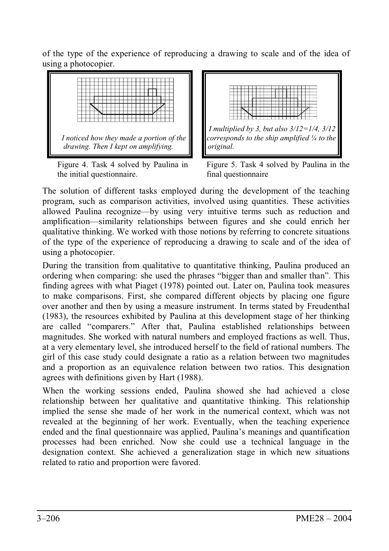of the type of the experience of reproducing a drawing to scale and of the idea of using a photocopier.



Figure 4. Task 4 solved by Paulina in the initial questionnaire.





The solution of different tasks employed during the development of the teaching program, such as comparison activities, involved using quantities. These activities allowed Paulina recognize—by using very intuitive terms such as reduction and amplification—similarity relationships between figures and she could enrich her qualitative thinking. We worked with those notions by referring to concrete situations of the type of the experience of reproducing a drawing to scale and of the idea of using a photocopier.

During the transition from qualitative to quantitative thinking, Paulina produced an ordering when comparing: she used the phrases "bigger than and smaller than". This finding agrees with what Piaget (1978) pointed out. Later on, Paulina took measures to make comparisons. First, she compared different objects by placing one figure over another and then by using a measure instrument. In terms stated by Freudenthal (1983), the resources exhibited by Paulina at this development stage of her thinking are called "comparers." After that, Paulina established relationships between magnitudes. She worked with natural numbers and employed fractions as well. Thus, at a very elementary level, she introduced herself to the field of rational numbers. The girl of this case study could designate a ratio as a relation between two magnitudes and a proportion as an equivalence relation between two ratios. This designation agrees with definitions given by Hart (1988).

When the working sessions ended, Paulina showed she had achieved a close relationship between her qualitative and quantitative thinking. This relationship implied the sense she made of her work in the numerical context, which was not revealed at the beginning of her work. Eventually, when the teaching experience ended and the final questionnaire was applied, Paulina's meanings and quantification processes had been enriched. Now she could use a technical language in the designation context. She achieved a generalization stage in which new situations related to ratio and proportion were favored.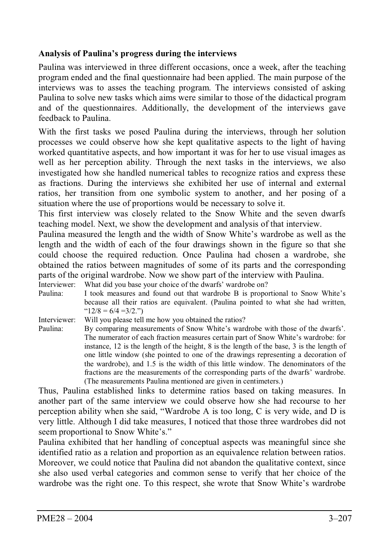# **Analysis of Paulina's progress during the interviews**

Paulina was interviewed in three different occasions, once a week, after the teaching program ended and the final questionnaire had been applied. The main purpose of the interviews was to asses the teaching program. The interviews consisted of asking Paulina to solve new tasks which aims were similar to those of the didactical program and of the questionnaires. Additionally, the development of the interviews gave feedback to Paulina.

With the first tasks we posed Paulina during the interviews, through her solution processes we could observe how she kept qualitative aspects to the light of having worked quantitative aspects, and how important it was for her to use visual images as well as her perception ability. Through the next tasks in the interviews, we also investigated how she handled numerical tables to recognize ratios and express these as fractions. During the interviews she exhibited her use of internal and external ratios, her transition from one symbolic system to another, and her posing of a situation where the use of proportions would be necessary to solve it.

This first interview was closely related to the Snow White and the seven dwarfs teaching model. Next, we show the development and analysis of that interview.

Paulina measured the length and the width of Snow White's wardrobe as well as the length and the width of each of the four drawings shown in the figure so that she could choose the required reduction. Once Paulina had chosen a wardrobe, she obtained the ratios between magnitudes of some of its parts and the corresponding parts of the original wardrobe. Now we show part of the interview with Paulina.<br>Interviewer: What did you base your choice of the dwarfs' wardrobe on?

Interviewer: What did you base your choice of the dwarfs' wardrobe on?<br>Paulina: I took measures and found out that wardrobe B is proported. I took measures and found out that wardrobe B is proportional to Snow White's because all their ratios are equivalent. (Paulina pointed to what she had written,  $"12/8 = 6/4 = 3/2."$ 

Interviewer: Will you please tell me how you obtained the ratios?<br>Paulina: By comparing measurements of Snow White's ward

By comparing measurements of Snow White's wardrobe with those of the dwarfs'. The numerator of each fraction measures certain part of Snow White's wardrobe: for instance, 12 is the length of the height, 8 is the length of the base, 3 is the length of one little window (she pointed to one of the drawings representing a decoration of the wardrobe), and 1.5 is the width of this little window. The denominators of the fractions are the measurements of the corresponding parts of the dwarfs' wardrobe. (The measurements Paulina mentioned are given in centimeters.)

Thus, Paulina established links to determine ratios based on taking measures. In another part of the same interview we could observe how she had recourse to her perception ability when she said, "Wardrobe A is too long, C is very wide, and D is very little. Although I did take measures, I noticed that those three wardrobes did not seem proportional to Snow White's."

Paulina exhibited that her handling of conceptual aspects was meaningful since she identified ratio as a relation and proportion as an equivalence relation between ratios. Moreover, we could notice that Paulina did not abandon the qualitative context, since she also used verbal categories and common sense to verify that her choice of the wardrobe was the right one. To this respect, she wrote that Snow White's wardrobe